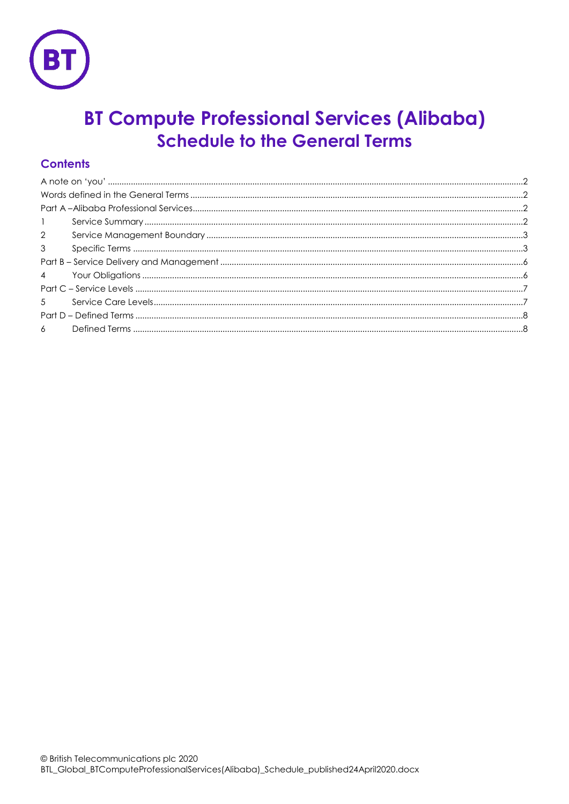

# **BT Compute Professional Services (Alibaba) Schedule to the General Terms**

## **Contents**

| $\mathbf{1}$   |  |
|----------------|--|
| $2^{\circ}$    |  |
| $\mathbf{3}$   |  |
|                |  |
| $\overline{4}$ |  |
|                |  |
| 5 <sup>7</sup> |  |
|                |  |
|                |  |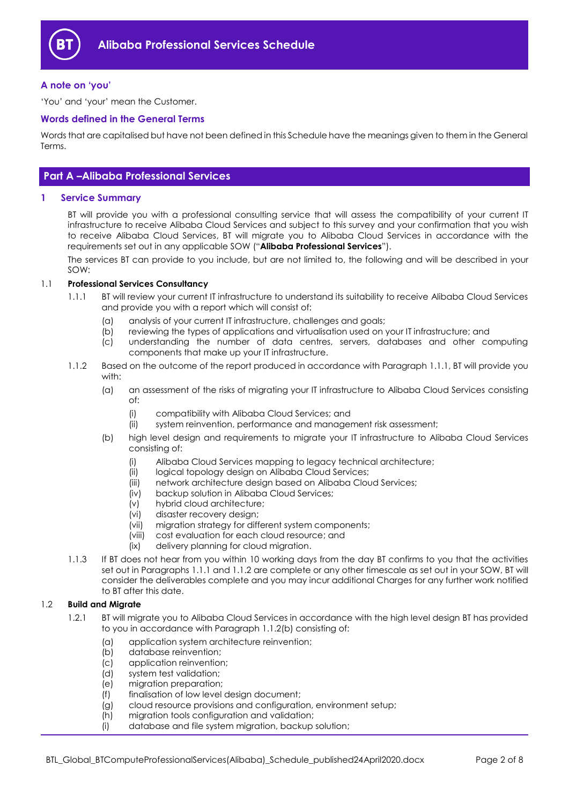

#### <span id="page-1-0"></span>**A note on 'you'**

'You' and 'your' mean the Customer.

#### <span id="page-1-1"></span>**Words defined in the General Terms**

Words that are capitalised but have not been defined in this Schedule have the meanings given to them in the General Terms.

## <span id="page-1-2"></span>**Part A –Alibaba Professional Services**

#### <span id="page-1-3"></span>**1 Service Summary**

BT will provide you with a professional consulting service that will assess the compatibility of your current IT infrastructure to receive Alibaba Cloud Services and subject to this survey and your confirmation that you wish to receive Alibaba Cloud Services, BT will migrate you to Alibaba Cloud Services in accordance with the requirements set out in any applicable SOW ("**Alibaba Professional Services**").

The services BT can provide to you include, but are not limited to, the following and will be described in your SOW:

#### <span id="page-1-4"></span>1.1 **Professional Services Consultancy**

- 1.1.1 BT will review your current IT infrastructure to understand its suitability to receive Alibaba Cloud Services and provide you with a report which will consist of:
	- (a) analysis of your current IT infrastructure, challenges and goals;
	- (b) reviewing the types of applications and virtualisation used on your IT infrastructure; and
	- (c) understanding the number of data centres, servers, databases and other computing components that make up your IT infrastructure.
- <span id="page-1-6"></span><span id="page-1-5"></span>1.1.2 Based on the outcome of the report produced in accordance with Paragraph [1.1.1,](#page-1-4) BT will provide you with:
	- (a) an assessment of the risks of migrating your IT infrastructure to Alibaba Cloud Services consisting of:
		- (i) compatibility with Alibaba Cloud Services; and
		- (ii) system reinvention, performance and management risk assessment;
	- (b) high level design and requirements to migrate your IT infrastructure to Alibaba Cloud Services consisting of:
		- (i) Alibaba Cloud Services mapping to legacy technical architecture;
		- (ii) logical topology design on Alibaba Cloud Services;
		- (iii) network architecture design based on Alibaba Cloud Services;
		- (iv) backup solution in Alibaba Cloud Services;
		- (v) hybrid cloud architecture;
		- (vi) disaster recovery design;
		- (vii) migration strategy for different system components;
		- (viii) cost evaluation for each cloud resource; and
		- (ix) delivery planning for cloud migration.
- 1.1.3 If BT does not hear from you within 10 working days from the day BT confirms to you that the activities set out in Paragraph[s 1.1.1](#page-1-4) and [1.1.2](#page-1-5) are complete or any other timescale as set out in your SOW, BT will consider the deliverables complete and you may incur additional Charges for any further work notified to BT after this date.

#### 1.2 **Build and Migrate**

- 1.2.1 BT will migrate you to Alibaba Cloud Services in accordance with the high level design BT has provided to you in accordance with Paragraph [1.1.2\(b\)](#page-1-6) consisting of:
	- (a) application system architecture reinvention;
	- (b) database reinvention;
	- (c) application reinvention;
	- (d) system test validation;
	- (e) migration preparation;
	- (f) finalisation of low level design document;
	- (g) cloud resource provisions and configuration, environment setup;
	- (h) migration tools configuration and validation;
	- (i) database and file system migration, backup solution;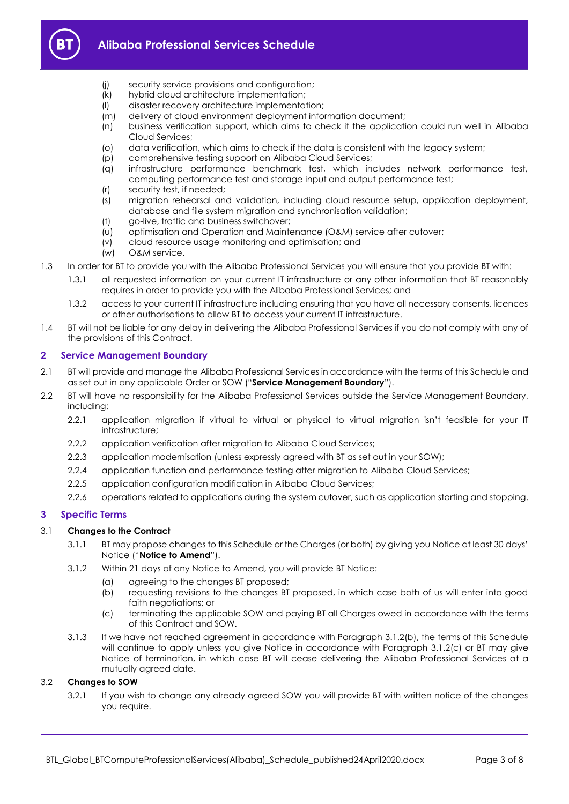

- (j) security service provisions and configuration;
- (k) hybrid cloud architecture implementation;
- (l) disaster recovery architecture implementation;
- (m) delivery of cloud environment deployment information document;
- (n) business verification support, which aims to check if the application could run well in Alibaba Cloud Services;
- (o) data verification, which aims to check if the data is consistent with the legacy system;
- (p) comprehensive testing support on Alibaba Cloud Services;
- (q) infrastructure performance benchmark test, which includes network performance test, computing performance test and storage input and output performance test;
- (r) security test, if needed;
- (s) migration rehearsal and validation, including cloud resource setup, application deployment, database and file system migration and synchronisation validation;
- (t) go-live, traffic and business switchover;
- (u) optimisation and Operation and Maintenance (O&M) service after cutover;
- (v) cloud resource usage monitoring and optimisation; and
- (w) O&M service.
- 1.3 In order for BT to provide you with the Alibaba Professional Services you will ensure that you provide BT with:
	- 1.3.1 all requested information on your current IT infrastructure or any other information that BT reasonably requires in order to provide you with the Alibaba Professional Services; and
	- 1.3.2 access to your current IT infrastructure including ensuring that you have all necessary consents, licences or other authorisations to allow BT to access your current IT infrastructure.
- 1.4 BT will not be liable for any delay in delivering the Alibaba Professional Services if you do not comply with any of the provisions of this Contract.

## <span id="page-2-0"></span>**2 Service Management Boundary**

- <span id="page-2-4"></span>2.1 BT will provide and manage the Alibaba Professional Services in accordance with the terms of this Schedule and as set out in any applicable Order or SOW ("**Service Management Boundary**").
- 2.2 BT will have no responsibility for the Alibaba Professional Services outside the Service Management Boundary, including:
	- 2.2.1 application migration if virtual to virtual or physical to virtual migration isn't feasible for your IT infrastructure;
	- 2.2.2 application verification after migration to Alibaba Cloud Services;
	- 2.2.3 application modernisation (unless expressly agreed with BT as set out in your SOW);
	- 2.2.4 application function and performance testing after migration to Alibaba Cloud Services;
	- 2.2.5 application configuration modification in Alibaba Cloud Services;
	- 2.2.6 operations related to applications during the system cutover, such as application starting and stopping.

## <span id="page-2-1"></span>**3 Specific Terms**

## 3.1 **Changes to the Contract**

- 3.1.1 BT may propose changes to this Schedule or the Charges (or both) by giving you Notice at least 30 days' Notice ("**Notice to Amend**").
- <span id="page-2-2"></span>3.1.2 Within 21 days of any Notice to Amend, you will provide BT Notice:
	- (a) agreeing to the changes BT proposed;
		- (b) requesting revisions to the changes BT proposed, in which case both of us will enter into good faith negotiations; or
	- (c) terminating the applicable SOW and paying BT all Charges owed in accordance with the terms of this Contract and SOW.
- <span id="page-2-3"></span>3.1.3 If we have not reached agreement in accordance with Paragraph [3.1.2\(b\),](#page-2-2) the terms of this Schedule will continue to apply unless you give Notice in accordance with Paragraph [3.1.2\(c\)](#page-2-3) or BT may give Notice of termination, in which case BT will cease delivering the Alibaba Professional Services at a mutually agreed date.

## 3.2 **Changes to SOW**

3.2.1 If you wish to change any already agreed SOW you will provide BT with written notice of the changes you require.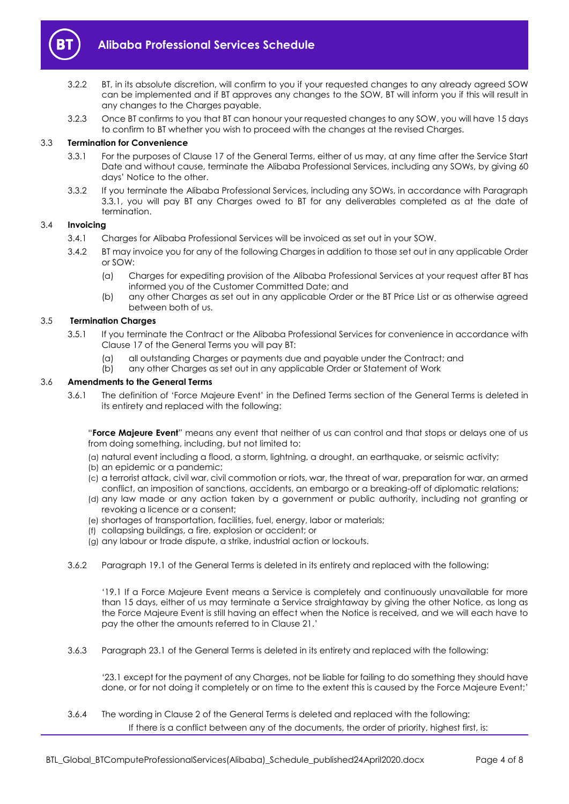

- 3.2.2 BT, in its absolute discretion, will confirm to you if your requested changes to any already agreed SOW can be implemented and if BT approves any changes to the SOW, BT will inform you if this will result in any changes to the Charges payable.
- 3.2.3 Once BT confirms to you that BT can honour your requested changes to any SOW, you will have 15 days to confirm to BT whether you wish to proceed with the changes at the revised Charges.

#### <span id="page-3-0"></span>3.3 **Termination for Convenience**

- 3.3.1 For the purposes of Clause 17 of the General Terms, either of us may, at any time after the Service Start Date and without cause, terminate the Alibaba Professional Services, including any SOWs, by giving 60 days' Notice to the other.
- 3.3.2 If you terminate the Alibaba Professional Services, including any SOWs, in accordance with Paragraph [3.3.1,](#page-3-0) you will pay BT any Charges owed to BT for any deliverables completed as at the date of termination.

#### 3.4 **Invoicing**

- 3.4.1 Charges for Alibaba Professional Services will be invoiced as set out in your SOW.
- 3.4.2 BT may invoice you for any of the following Charges in addition to those set out in any applicable Order or SOW:
	- (a) Charges for expediting provision of the Alibaba Professional Services at your request after BT has informed you of the Customer Committed Date; and
	- (b) any other Charges as set out in any applicable Order or the BT Price List or as otherwise agreed between both of us.

#### 3.5 **Termination Charges**

- 3.5.1 If you terminate the Contract or the Alibaba Professional Services for convenience in accordance with Clause 17 of the General Terms you will pay BT:
	- (a) all outstanding Charges or payments due and payable under the Contract; and
	- (b) any other Charges as set out in any applicable Order or Statement of Work

#### 3.6 **Amendments to the General Terms**

3.6.1 The definition of 'Force Majeure Event' in the Defined Terms section of the General Terms is deleted in its entirety and replaced with the following:

"**Force Majeure Event**" means any event that neither of us can control and that stops or delays one of us from doing something, including, but not limited to:

- (a) natural event including a flood, a storm, lightning, a drought, an earthquake, or seismic activity;
- (b) an epidemic or a pandemic;
- (c) a terrorist attack, civil war, civil commotion or riots, war, the threat of war, preparation for war, an armed conflict, an imposition of sanctions, accidents, an embargo or a breaking-off of diplomatic relations;
- (d) any law made or any action taken by a government or public authority, including not granting or revoking a licence or a consent;
- (e) shortages of transportation, facilities, fuel, energy, labor or materials;
- (f) collapsing buildings, a fire, explosion or accident; or
- (g) any labour or trade dispute, a strike, industrial action or lockouts.
- 3.6.2 Paragraph 19.1 of the General Terms is deleted in its entirety and replaced with the following:

'19.1 If a Force Majeure Event means a Service is completely and continuously unavailable for more than 15 days, either of us may terminate a Service straightaway by giving the other Notice, as long as the Force Majeure Event is still having an effect when the Notice is received, and we will each have to pay the other the amounts referred to in Clause 21.'

3.6.3 Paragraph 23.1 of the General Terms is deleted in its entirety and replaced with the following:

'23.1 except for the payment of any Charges, not be liable for failing to do something they should have done, or for not doing it completely or on time to the extent this is caused by the Force Majeure Event;'

3.6.4 The wording in Clause 2 of the General Terms is deleted and replaced with the following: If there is a conflict between any of the documents, the order of priority, highest first, is: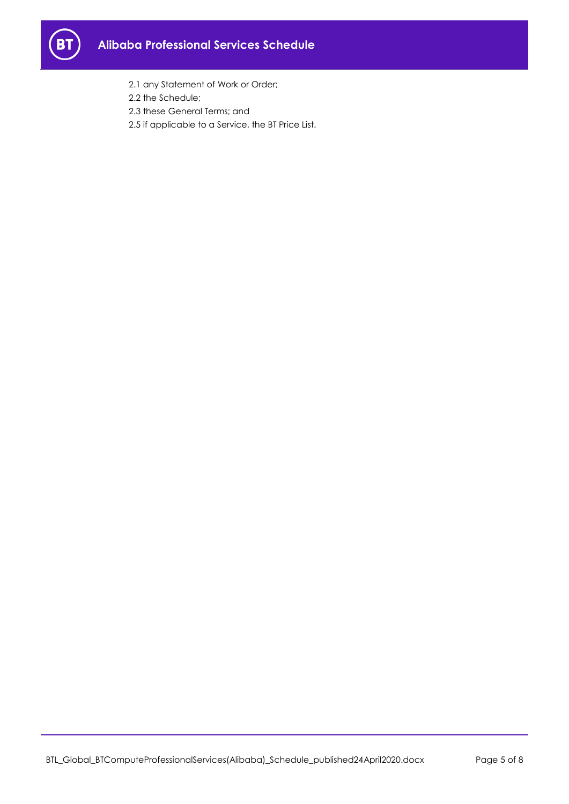

- 2.1 any Statement of Work or Order;
- 2.2 the Schedule;
- 2.3 these General Terms; and
- 2.5 if applicable to a Service, the BT Price List.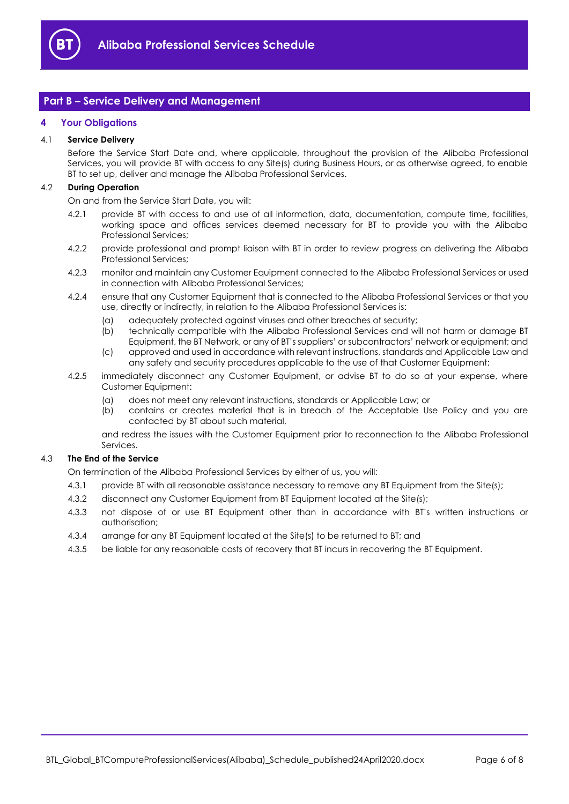

## <span id="page-5-0"></span>**Part B – Service Delivery and Management**

#### <span id="page-5-1"></span>**4 Your Obligations**

#### 4.1 **Service Delivery**

Before the Service Start Date and, where applicable, throughout the provision of the Alibaba Professional Services, you will provide BT with access to any Site(s) during Business Hours, or as otherwise agreed, to enable BT to set up, deliver and manage the Alibaba Professional Services.

#### 4.2 **During Operation**

On and from the Service Start Date, you will:

- 4.2.1 provide BT with access to and use of all information, data, documentation, compute time, facilities, working space and offices services deemed necessary for BT to provide you with the Alibaba Professional Services;
- 4.2.2 provide professional and prompt liaison with BT in order to review progress on delivering the Alibaba Professional Services;
- 4.2.3 monitor and maintain any Customer Equipment connected to the Alibaba Professional Services or used in connection with Alibaba Professional Services;
- 4.2.4 ensure that any Customer Equipment that is connected to the Alibaba Professional Services or that you use, directly or indirectly, in relation to the Alibaba Professional Services is:
	- (a) adequately protected against viruses and other breaches of security;
	- (b) technically compatible with the Alibaba Professional Services and will not harm or damage BT Equipment, the BT Network, or any of BT's suppliers' or subcontractors' network or equipment; and
	- (c) approved and used in accordance with relevant instructions, standards and Applicable Law and any safety and security procedures applicable to the use of that Customer Equipment;
- 4.2.5 immediately disconnect any Customer Equipment, or advise BT to do so at your expense, where Customer Equipment:
	- (a) does not meet any relevant instructions, standards or Applicable Law; or
	- (b) contains or creates material that is in breach of the Acceptable Use Policy and you are contacted by BT about such material,

and redress the issues with the Customer Equipment prior to reconnection to the Alibaba Professional Services.

#### 4.3 **The End of the Service**

On termination of the Alibaba Professional Services by either of us, you will:

- 4.3.1 provide BT with all reasonable assistance necessary to remove any BT Equipment from the Site(s);
- 4.3.2 disconnect any Customer Equipment from BT Equipment located at the Site(s);
- 4.3.3 not dispose of or use BT Equipment other than in accordance with BT's written instructions or authorisation;
- 4.3.4 arrange for any BT Equipment located at the Site(s) to be returned to BT; and
- 4.3.5 be liable for any reasonable costs of recovery that BT incurs in recovering the BT Equipment.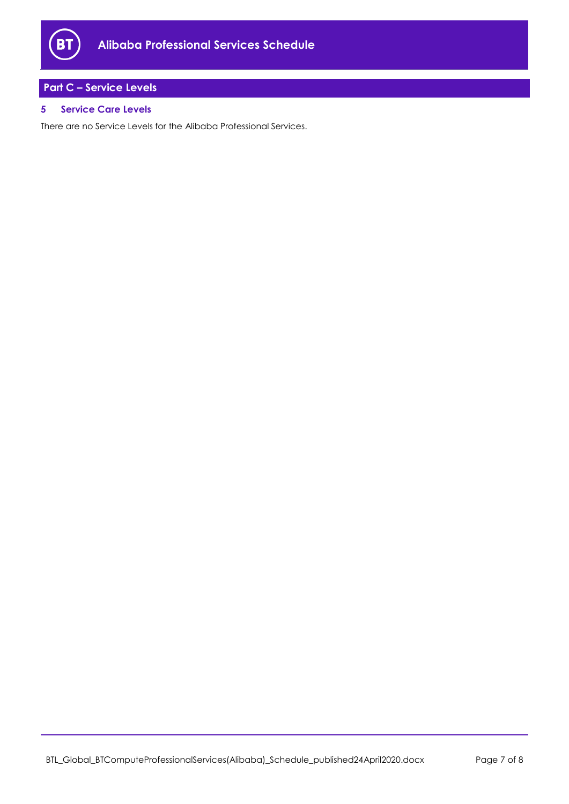

# <span id="page-6-0"></span>**Part C – Service Levels**

## <span id="page-6-1"></span>**5 Service Care Levels**

There are no Service Levels for the Alibaba Professional Services.